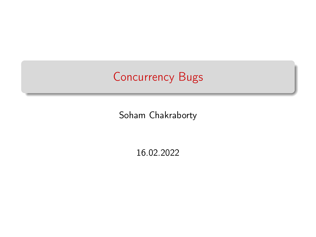# Concurrency Bugs

Soham Chakraborty

16.02.2022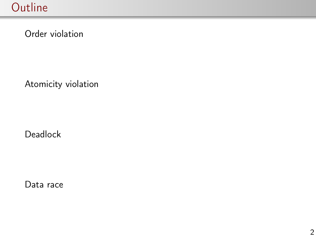Order violation

Atomicity violation

Deadlock

Data race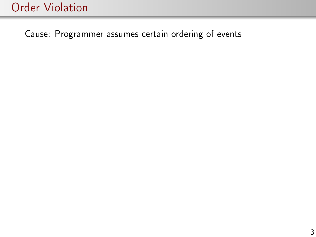Cause: Programmer assumes certain ordering of events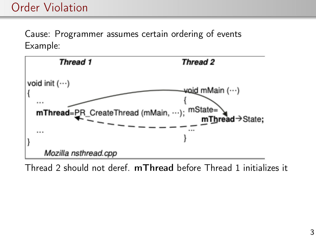Cause: Programmer assumes certain ordering of events Example:



Thread 2 should not deref. mThread before Thread 1 initializes it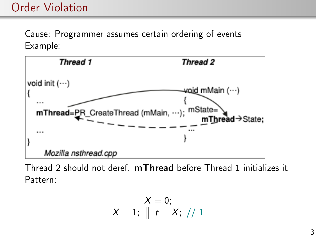Cause: Programmer assumes certain ordering of events Example:



Thread 2 should not deref. mThread before Thread 1 initializes it Pattern:

$$
\begin{array}{c} X = 0; \\ X = 1; \parallel t = X; \end{array} / \begin{array}{c} 1 \end{array}
$$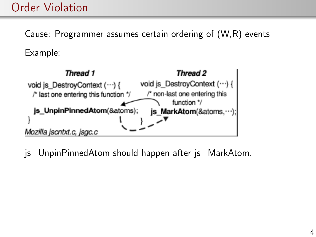Cause: Programmer assumes certain ordering of (W,R) events Example:



js UnpinPinnedAtom should happen after js MarkAtom.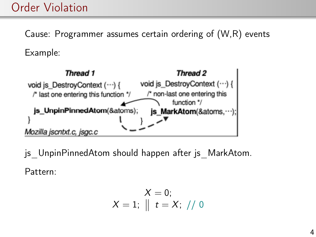Cause: Programmer assumes certain ordering of (W,R) events Example:



js UnpinPinnedAtom should happen after js MarkAtom. Pattern:

$$
\begin{array}{c} X = 0; \\ X = 1; \parallel t = X; \end{array} / \text{ } 0
$$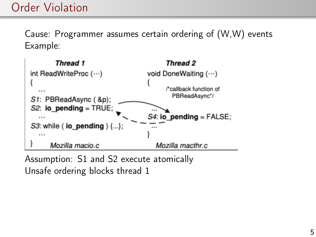Cause: Programmer assumes certain ordering of (W,W) events Example:



Assumption: S1 and S2 execute atomically Unsafe ordering blocks thread 1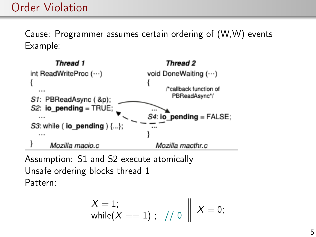Cause: Programmer assumes certain ordering of (W,W) events Example:



Assumption: S1 and S2 execute atomically Unsafe ordering blocks thread 1 Pattern:

$$
X = 1;
$$
\n
$$
\text{while}(X == 1); \quad // \quad 0 \quad X = 0;
$$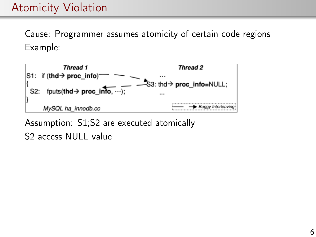# Atomicity Violation

Cause: Programmer assumes atomicity of certain code regions Example:



Assumption: S1;S2 are executed atomically S<sub>2</sub> access NULL value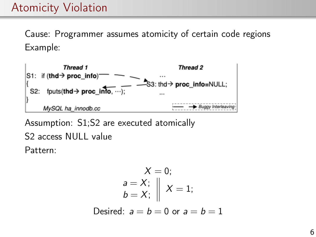# Atomicity Violation

Cause: Programmer assumes atomicity of certain code regions Example:



Assumption: S1;S2 are executed atomically S2 access NULL value Pattern:

$$
X = 0;
$$
  
\n
$$
a = X;
$$
  
\n
$$
b = X;
$$
  
\n
$$
\parallel X = 1;
$$
  
\nDesired: 
$$
a = b = 0 \text{ or } a = b = 1
$$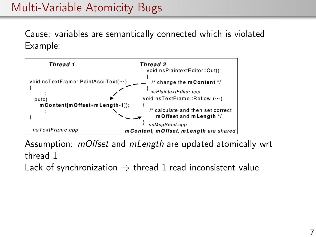# Multi-Variable Atomicity Bugs

Cause: variables are semantically connected which is violated Example:



Assumption: mOffset and mLength are updated atomically wrt thread 1 Lack of synchronization  $\Rightarrow$  thread 1 read inconsistent value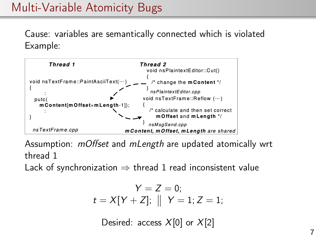# Multi-Variable Atomicity Bugs

Cause: variables are semantically connected which is violated Example:



Assumption: mOffset and mLength are updated atomically wrt thread 1

Lack of synchronization  $\Rightarrow$  thread 1 read inconsistent value

$$
Y = Z = 0;
$$
  

$$
t = X[Y + Z]; \parallel Y = 1; Z = 1;
$$

Desired: access  $X[0]$  or  $X[2]$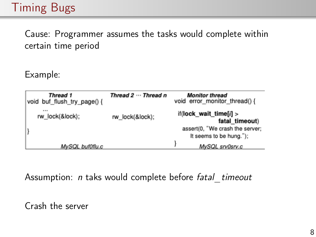# Timing Bugs

Cause: Programmer assumes the tasks would complete within certain time period

Example:

| Thread 1<br>void buf flush try page() { | Thread 2  Thread n | <b>Monitor thread</b><br>void error monitor thread() {     |
|-----------------------------------------|--------------------|------------------------------------------------------------|
| <br>rw lock(&lock);                     | rw lock(&lock);    | if(lock wait time[ $i$ ] ><br>fatal timeout)               |
|                                         |                    | assert(0, "We crash the server;<br>It seems to be hung."); |
| MySQL buf0flu.c                         |                    | MySQL srv0srv.c                                            |

Assumption: *n* taks would complete before fatal timeout

Crash the server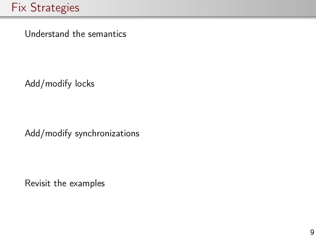Understand the semantics

Add/modify locks

Add/modify synchronizations

Revisit the examples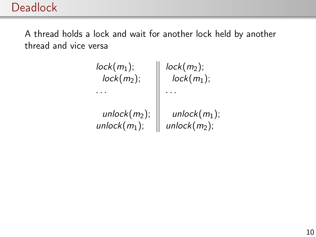## **Deadlock**

A thread holds a lock and wait for another lock held by another thread and vice versa

| $lock(m_1);$   | $lock(m_2);$     |
|----------------|------------------|
| $lock(m_2);$   | $lock(m_1);$     |
|                |                  |
| $unlock(m2)$ ; | $unlock(m_1);$   |
| $unlock(m1)$ ; | unlock $(m_2)$ ; |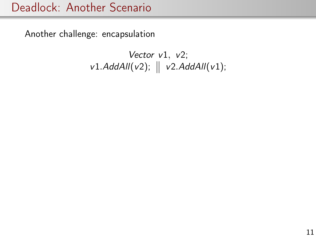## Deadlock: Another Scenario

Another challenge: encapsulation

Vector  $v1, v2$ ;  $v1.$ AddAll(v2);  $\parallel v2.$ AddAll(v1);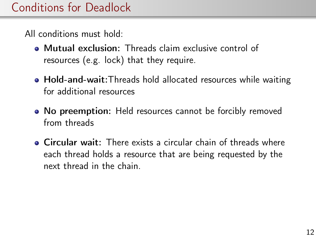All conditions must hold:

- Mutual exclusion: Threads claim exclusive control of resources (e.g. lock) that they require.
- Hold-and-wait: Threads hold allocated resources while waiting for additional resources
- No preemption: Held resources cannot be forcibly removed from threads
- Circular wait: There exists a circular chain of threads where each thread holds a resource that are being requested by the next thread in the chain.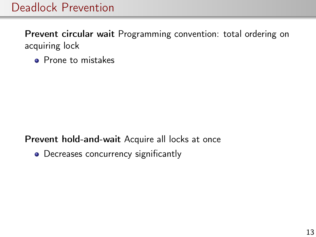## Deadlock Prevention

Prevent circular wait Programming convention: total ordering on acquiring lock

• Prone to mistakes

#### Prevent hold-and-wait Acquire all locks at once

• Decreases concurrency significantly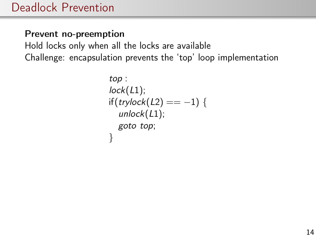#### Prevent no-preemption

Hold locks only when all the locks are available Challenge: encapsulation prevents the 'top' loop implementation

```
top :
lock(L1);if(trylock(L2) == -1) {
  unlock(L1);goto top;
}
```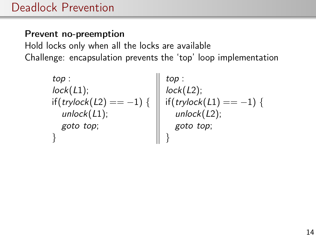### Prevent no-preemption

Hold locks only when all the locks are available Challenge: encapsulation prevents the 'top' loop implementation

$$
top: \text{lock}(L1); \quad top: \quad loop: \\ \text{lock}(L1); \quad if (trylock(L2)) == -1) \{ \quad \text{inf}(trylock(L1)) == -1) \{ \quad \text{inlock}(L2); \quad \text{goto top}; \quad \text{goto top}; \quad \text{plot top}; \quad \text{plot top}; \quad \text{plot top}; \quad \text{plot top}; \quad \text{plot top}; \quad \text{plot top}; \quad \text{plot top}; \quad \text{plot top}; \quad \text{plot top}; \quad \text{plot top}; \quad \text{plot top}; \quad \text{plot top}; \quad \text{plot top}; \quad \text{plot top}; \quad \text{plot top}; \quad \text{plot top}; \quad \text{plot top}; \quad \text{plot top}; \quad \text{plot top}; \quad \text{plot top}; \quad \text{plot top}; \quad \text{plot top}; \quad \text{plot top}; \quad \text{plot top}; \quad \text{plot top}; \quad \text{plot top}; \quad \text{plot top}; \quad \text{plot top}; \quad \text{plot top}; \quad \text{plot top}; \quad \text{plot top}; \quad \text{plot top}; \quad \text{plot top}; \quad \text{plot top}; \quad \text{plot top}; \quad \text{plot top}; \quad \text{plot top}; \quad \text{plot top}; \quad \text{plot top}; \quad \text{plot top}; \quad \text{plot top}; \quad \text{plot top}; \quad \text{plot top}; \quad \text{plot top}; \quad \text{plot top}; \quad \text{plot top}; \quad \text{plot top}; \quad \text{plot top}; \quad \text{plot top}; \quad \text{plot top}; \quad \text{plot top}; \quad \text{plot top}; \quad \text{plot top}; \quad \text{plot top}; \quad \text{plot top}; \quad \text{plot top}; \quad \text{plot top}; \quad \text{plot top}; \quad \text{plot top}; \quad \text{plot top}; \quad \text{plot top}; \quad \text{plot top}; \quad \text{plot top}; \quad \text{plot top}; \quad \text{plot top}; \quad \text{plot top}; \quad \text{plot top}; \quad \text{plot top}; \quad \text{plot top}; \quad \text{plot top}; \quad \text{plot top}; \quad \text{plot top}; \quad \text{plot top}; \quad \text{plot top}; \quad \text{plot top}; \quad \text{plot top}; \quad \text{plot top}; \quad \text{plot top}; \quad \text{plot top}; \quad \text{plot top}; \quad \text{plot top}; \quad \text{plot top}; \quad \text{plot top}; \quad \text{plot top};
$$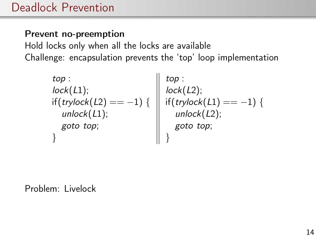### Prevent no-preemption

Hold locks only when all the locks are available Challenge: encapsulation prevents the 'top' loop implementation

$$
top: \text{lock}(L1); \\ \text{if (trylock}(L2)) == -1) { tock(L2);} \\ \text{if (trylock}(L1)) := -1) { \left\{ \begin{array}{c} \text{top}: \\ \text{lock}(L2); \\ \text{if (trylock}(L1)) == -1) { \\ \text{unlock}(L2); \\ \text{goto top}; \\ \text{if (to top)} \end{array} \right\} }
$$

Problem: Livelock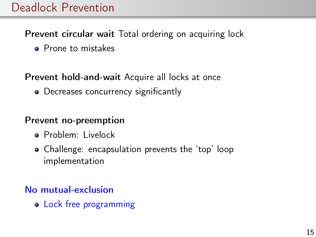## Deadlock Prevention

#### Prevent circular wait Total ordering on acquiring lock

• Prone to mistakes

### Prevent hold-and-wait Acquire all locks at once

• Decreases concurrency significantly

#### Prevent no-preemption

- **•** Problem: Livelock
- Challenge: encapsulation prevents the 'top' loop implementation

### No mutual-exclusion

• Lock free programming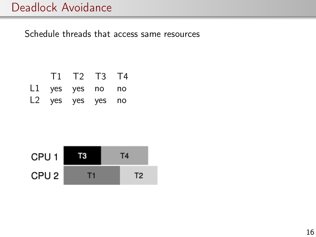## Deadlock Avoidance

Schedule threads that access same resources

|                   | T1 T2 T3 T4 |  |
|-------------------|-------------|--|
| L1 yes yes no no  |             |  |
| L2 yes yes yes no |             |  |

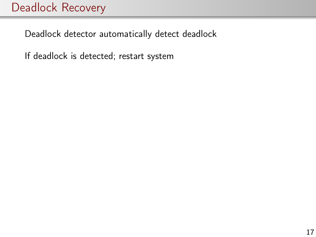# Deadlock Recovery

Deadlock detector automatically detect deadlock

If deadlock is detected; restart system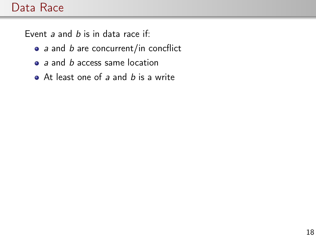## Data Race

Event  $a$  and  $b$  is in data race if:

- $\bullet$  a and b are concurrent/in concflict
- $\bullet$  a and b access same location
- $\bullet$  At least one of a and b is a write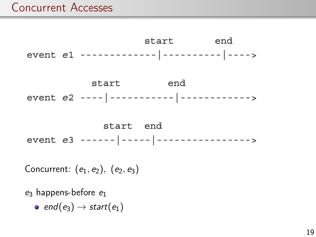## Concurrent Accesses



Concurrent:  $(e_1, e_2)$ ,  $(e_2, e_3)$ 

 $e_3$  happens-before  $e_1$ 

 $\bullet$  end(e<sub>3</sub>)  $\rightarrow$  start(e<sub>1</sub>)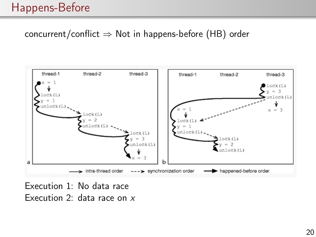### concurrent/conflict  $\Rightarrow$  Not in happens-before (HB) order



Execution 1: No data race Execution 2: data race on x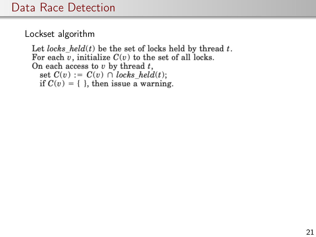Lockset algorithm

```
Let locks held(t) be the set of locks held by thread t.
For each \overline{v}, initialize C(v) to the set of all locks.
On each access to v by thread t,
  set C(v) := C(v) \cap \text{locks held}(t);if C(v) = \{\}, then issue a warning.
```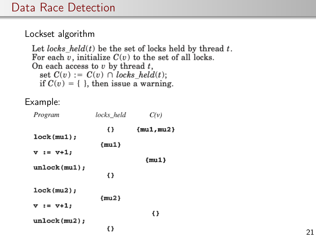#### Lockset algorithm

```
Let locks held(t) be the set of locks held by thread t.
For each \overline{v}, initialize C(v) to the set of all locks.
On each access to v by thread t,
  set C(v) := C(v) \cap \text{locks held}(t);if C(v) = \{\}, then issue a warning.
```
#### Example:

| Program        | locks held | C(v)         |
|----------------|------------|--------------|
|                | Ð          | ${mu1, mu2}$ |
| lock(mu1);     | $\{mu1\}$  |              |
| $v := v+1;$    |            |              |
| unlock(mu1);   |            | $\{mu1\}$    |
|                | {}         |              |
| lock(mu2);     |            |              |
| $v := v + 1$ ; | $\{mu2\}$  |              |
| unlock(mu2);   |            | {}           |
|                | {}         |              |